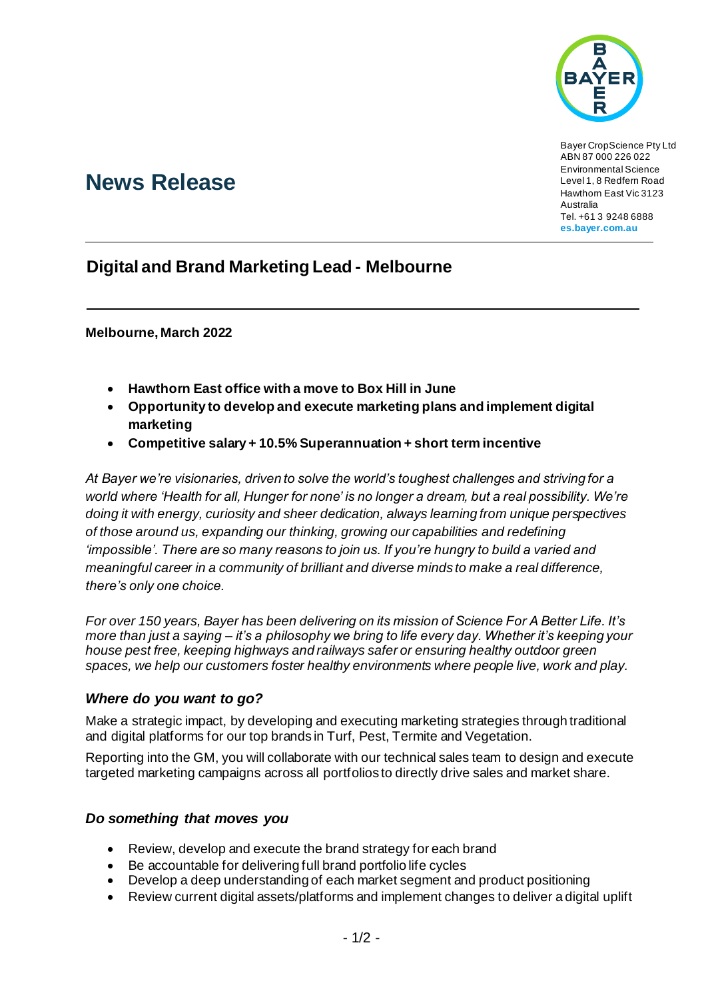

Bayer CropScience Pty Ltd ABN 87 000 226 022 Environmental Science Level 1, 8 Redfern Road Hawthorn East Vic 3123 Australia Tel. +61 3 9248 6888 **es.bayer.com.au**

# **News Release**

## **Digital and Brand Marketing Lead - Melbourne**

**Melbourne, March 2022**

- **Hawthorn East office with a move to Box Hill in June**
- **Opportunity to develop and execute marketing plans and implement digital marketing**
- **Competitive salary + 10.5% Superannuation + short term incentive**

*At Bayer we're visionaries, driven to solve the world's toughest challenges and striving for a world where 'Health for all, Hunger for none' is no longer a dream, but a real possibility. We're doing it with energy, curiosity and sheer dedication, always learning from unique perspectives of those around us, expanding our thinking, growing our capabilities and redefining 'impossible'. There are so many reasons to join us. If you're hungry to build a varied and meaningful career in a community of brilliant and diverse minds to make a real difference, there's only one choice.*

*For over 150 years, Bayer has been delivering on its mission of Science For A Better Life. It's more than just a saying – it's a philosophy we bring to life every day. Whether it's keeping your house pest free, keeping highways and railways safer or ensuring healthy outdoor green spaces, we help our customers foster healthy environments where people live, work and play.*

### *Where do you want to go?*

Make a strategic impact, by developing and executing marketing strategies through traditional and digital platforms for our top brands in Turf, Pest, Termite and Vegetation.

Reporting into the GM, you will collaborate with our technical sales team to design and execute targeted marketing campaigns across all portfolios to directly drive sales and market share.

### *Do something that moves you*

- Review, develop and execute the brand strategy for each brand
- Be accountable for delivering full brand portfolio life cycles
- Develop a deep understanding of each market segment and product positioning
- Review current digital assets/platforms and implement changes to deliver a digital uplift